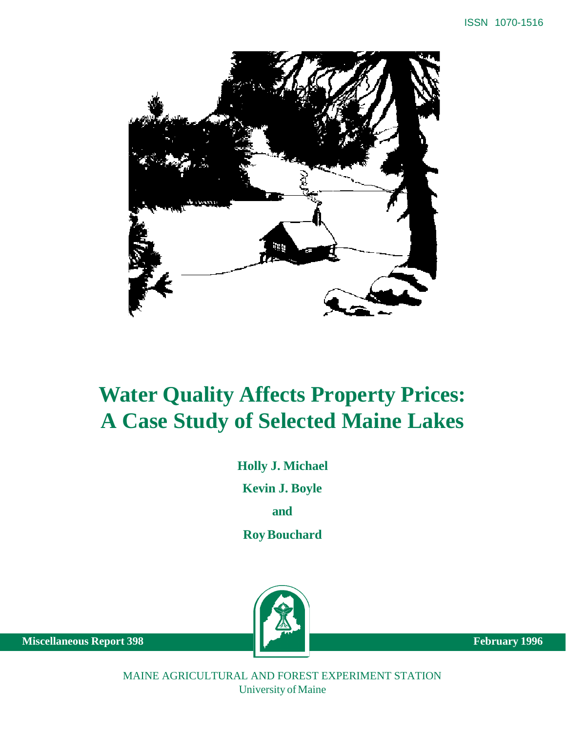

# **Water Quality Affects Property Prices: A Case Study of Selected Maine Lakes**

**Holly J. Michael**

**Kevin J. Boyle**

**and**

**Roy Bouchard**



**Miscellaneous Report 398** February 1996

MAINE AGRICULTURAL AND FOREST EXPERIMENT STATION University of Maine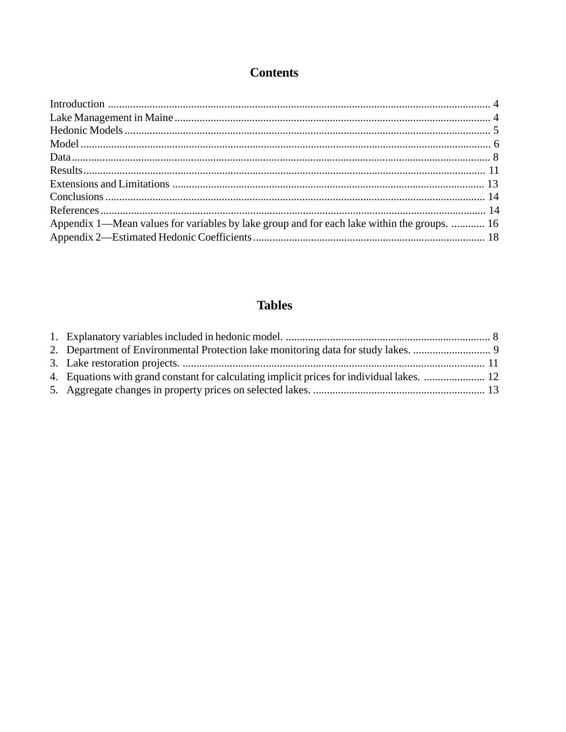# **Contents**

| Appendix 1—Mean values for variables by lake group and for each lake within the groups.  16 |  |
|---------------------------------------------------------------------------------------------|--|
|                                                                                             |  |

# **Tables**

| 2. Department of Environmental Protection lake monitoring data for study lakes.            |  |
|--------------------------------------------------------------------------------------------|--|
|                                                                                            |  |
| 4. Equations with grand constant for calculating implicit prices for individual lakes.  12 |  |
|                                                                                            |  |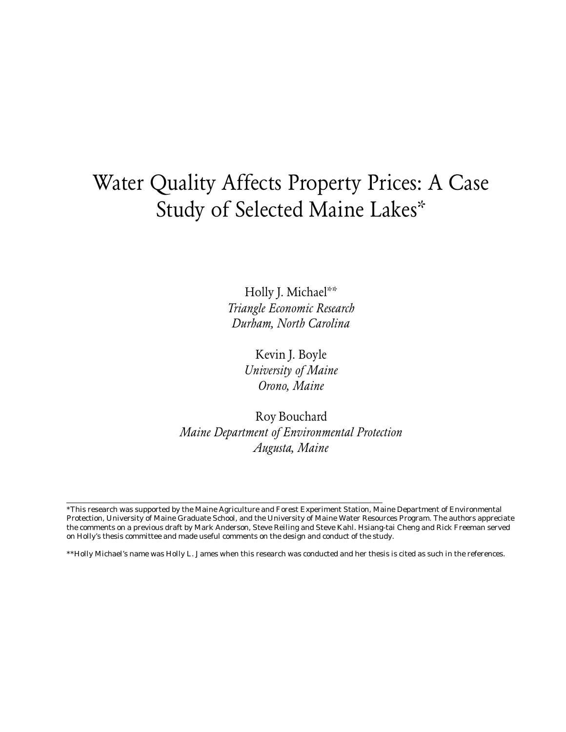# Water Quality Affects Property Prices: A Case Study of Selected Maine Lakes\*

Holly J. Michael\*\* Triangle Economic Research Durham, North Carolina

> Kevin J. Boyle University of Maine Orono, Maine

Roy Bouchard Maine Department of Environmental Protection Augusta, Maine

<sup>\*</sup>This research was supported by the Maine Agriculture and Forest Experiment Station, Maine Department of Environmental Protection, University of Maine Graduate School, and the University of Maine Water Resources Program. The authors appreciate the comments on a previous draft by Mark Anderson, Steve Reiling and Steve Kahl. Hsiang-tai Cheng and Rick Freeman served on Holly's thesis committee and made useful comments on the design and conduct of the study.

<sup>\*\*</sup>Holly Michael's name was Holly L. James when this research was conducted and her thesis is cited as such in the references.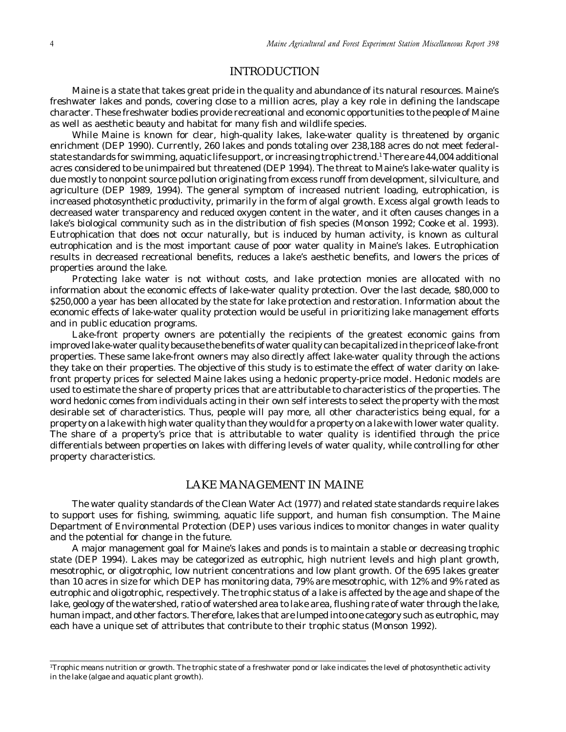# INTRODUCTION

<span id="page-3-0"></span>Maine is a state that takes great pride in the quality and abundance of its natural resources. Maine's freshwater lakes and ponds, covering close to a million acres, play a key role in defining the landscape character. These freshwater bodies provide recreational and economic opportunities to the people of Maine as well as aesthetic beauty and habitat for many fish and wildlife species.

While Maine is known for clear, high-quality lakes, lake-water quality is threatened by organic enrichment (DEP 1990). Currently, 260 lakes and ponds totaling over 238,188 acres do not meet federalstate standards for swimming, aquatic life support, or increasing trophic trend.' There are 44,004 additional acres considered to be unimpaired but threatened (DEP 1994). The threat to Maine's lake-water quality is due mostly to nonpoint source pollution originating from excess runoff from development, silviculture, and agriculture (DEP 1989, 1994). The general symptom of increased nutrient loading, eutrophication, is increased photosynthetic productivity, primarily in the form of algal growth. Excess algal growth leads to decreased water transparency and reduced oxygen content in the water, and it often causes changes in a lake's biological community such as in the distribution of fish species (Monson 1992; Cooke et al. 1993). Eutrophication that does not occur naturally, but is induced by human activity, is known as cultural eutrophication and is the most important cause of poor water quality in Maine's lakes. Eutrophication results in decreased recreational benefits, reduces a lake's aesthetic benefits, and lowers the prices of properties around the lake.

Protecting lake water is not without costs, and lake protection monies are allocated with no information about the economic effects of lake-water quality protection. Over the last decade, \$80,000 to \$250,000 a year has been allocated by the state for lake protection and restoration. Information about the economic effects of lake-water quality protection would be useful in prioritizing lake management efforts and in public education programs.

Lake-front property owners are potentially the recipients of the greatest economic gains from improved lake-water quality because the benefits of water quality can be capitalized in the price of lake-front properties. These same lake-front owners may also directly affect lake-water quality through the actions they take on their properties. The objective of this study is to estimate the effect of water clarity on lakefront property prices for selected Maine lakes using a hedonic property-price model. Hedonic models are used to estimate the share of property prices that are attributable to characteristics of the properties. The word hedonic comes from individuals acting in their own self interests to select the property with the most desirable set of characteristics. Thus, people will pay more, all other characteristics being equal, for a property on a lake with high water quality than they would for a property on a lake with lower water quality. The share of a property's price that is attributable to water quality is identified through the price differentials between properties on lakes with differing levels of water quality, while controlling for other property characteristics.

# LAKE MANAGEMENT IN MAINE

The water quality standards of the Clean Water Act (1977) and related state standards require lakes to support uses for fishing, swimming, aquatic life support, and human fish consumption. The Maine Department of Environmental Protection (DEP) uses various indices to monitor changes in water quality and the potential for change in the future.

A major management goal for Maine's lakes and ponds is to maintain a stable or decreasing trophic state (DEP 1994). Lakes may be categorized as eutrophic, high nutrient levels and high plant growth, mesotrophic, or oligotrophic, low nutrient concentrations and low plant growth. Of the 695 lakes greater than 10 acres in size for which DEP has monitoring data, 79% are mesotrophic, with 12% and 9% rated as eutrophic and oligotrophic, respectively. The trophic status of a lake is affected by the age and shape of the lake, geology of the watershed, ratio of watershed area to lake area, flushing rate of water through the lake, human impact, and other factors. Therefore, lakes that are lumped into one category such as eutrophic, may each have a unique set of attributes that contribute to their trophic status (Monson 1992).

<sup>1</sup> Trophic means nutrition or growth. The trophic state of a freshwater pond or lake indicates the level of photosynthetic activity in the lake (algae and aquatic plant growth).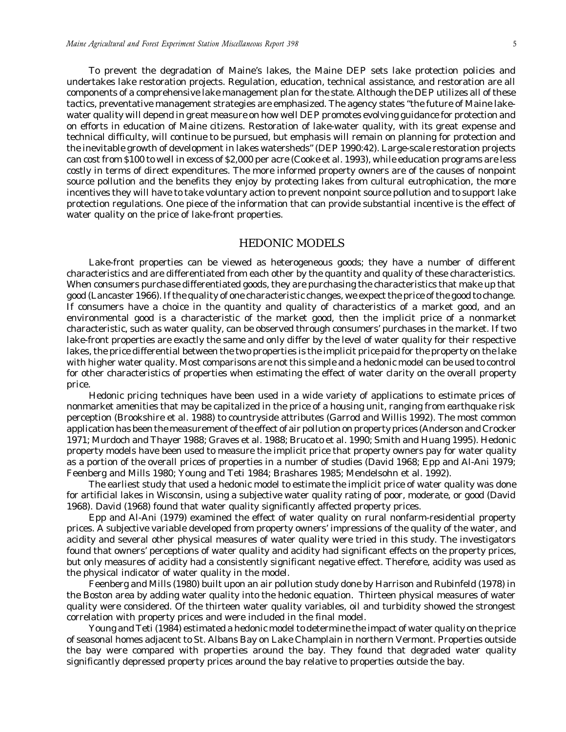<span id="page-4-0"></span>To prevent the degradation of Maine's lakes, the Maine DEP sets lake protection policies and undertakes lake restoration projects. Regulation, education, technical assistance, and restoration are all components of a comprehensive lake management plan for the state. Although the DEP utilizes all of these tactics, preventative management strategies are emphasized. The agency states "the future of Maine lakewater quality will depend in great measure on how well DEP promotes evolving guidance for protection and on efforts in education of Maine citizens. Restoration of lake-water quality, with its great expense and technical difficulty, will continue to be pursued, but emphasis will remain on planning for protection and the inevitable growth of development in lakes watersheds" (DEP 1990:42). Large-scale restoration projects can cost from \$100 to well in excess of \$2,000 per acre (Cooke et al. 1993), while education programs are less costly in terms of direct expenditures. The more informed property owners are of the causes of nonpoint source pollution and the benefits they enjoy by protecting lakes from cultural eutrophication, the more incentives they will have to take voluntary action to prevent nonpoint source pollution and to support lake protection regulations. One piece of the information that can provide substantial incentive is the effect of water quality on the price of lake-front properties.

# HEDONIC MODELS

Lake-front properties can be viewed as heterogeneous goods; they have a number of different characteristics and are differentiated from each other by the quantity and quality of these characteristics. When consumers purchase differentiated goods, they are purchasing the characteristics that make up that good (Lancaster 1966). If the quality of one characteristic changes, we expect the price of the good to change. If consumers have a choice in the quantity and quality of characteristics of a market good, and an environmental good is a characteristic of the market good, then the implicit price of a nonmarket characteristic, such as water quality, can be observed through consumers' purchases in the market. If two lake-front properties are exactly the same and only differ by the level of water quality for their respective lakes, the price differential between the two properties is the implicit price paid for the property on the lake with higher water quality. Most comparisons are not this simple and a hedonic model can be used to control for other characteristics of properties when estimating the effect of water clarity on the overall property price.

Hedonic pricing techniques have been used in a wide variety of applications to estimate prices of nonmarket amenities that may be capitalized in the price of a housing unit, ranging from earthquake risk perception (Brookshire et al. 1988) to countryside attributes (Garrod and Willis 1992). The most common application has been the measurement of the effect of air pollution on property prices (Anderson and Crocker 1971; Murdoch and Thayer 1988; Graves et al. 1988; Brucato et al. 1990; Smith and Huang 1995). Hedonic property models have been used to measure the implicit price that property owners pay for water quality as a portion of the overall prices of properties in a number of studies (David 1968; Epp and Al-Ani 1979; Feenberg and Mills 1980; Young and Teti 1984; Brashares 1985; Mendelsohn et al. 1992).

The earliest study that used a hedonic model to estimate the implicit price of water quality was done for artificial lakes in Wisconsin, using a subjective water quality rating of poor, moderate, or good (David 1968). David (1968) found that water quality significantly affected property prices.

Epp and Al-Ani (1979) examined the effect of water quality on rural nonfarm-residential property prices. A subjective variable developed from property owners' impressions of the quality of the water, and acidity and several other physical measures of water quality were tried in this study. The investigators found that owners' perceptions of water quality and acidity had significant effects on the property prices, but only measures of acidity had a consistently significant negative effect. Therefore, acidity was used as the physical indicator of water quality in the model.

Feenberg and Mills (1980) built upon an air pollution study done by Harrison and Rubinfeld (1978) in the Boston area by adding water quality into the hedonic equation. Thirteen physical measures of water quality were considered. Of the thirteen water quality variables, oil and turbidity showed the strongest correlation with property prices and were included in the final model.

Young and Teti (1984) estimated a hedonic model to determine the impact of water quality on the price of seasonal homes adjacent to St. Albans Bay on Lake Champlain in northern Vermont. Properties outside the bay were compared with properties around the bay. They found that degraded water quality significantly depressed property prices around the bay relative to properties outside the bay.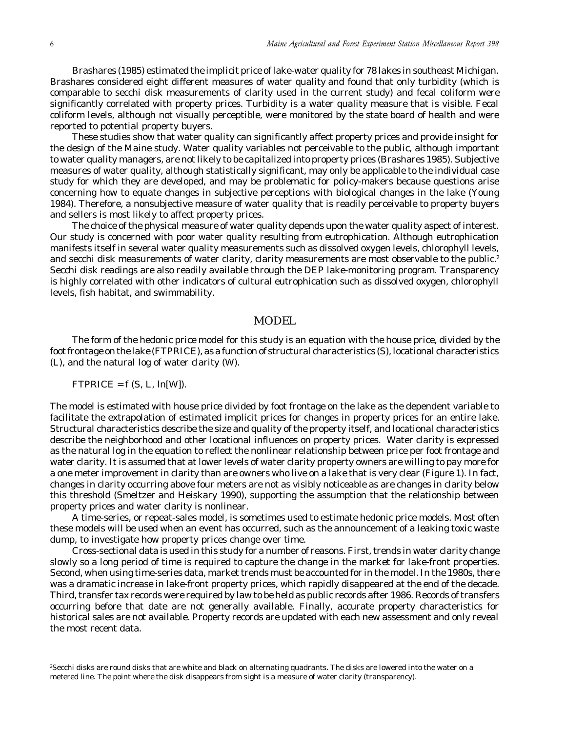<span id="page-5-0"></span>Brashares (1985) estimated the implicit price of lake-water quality for 78 lakes in southeast Michigan. Brashares considered eight different measures of water quality and found that only turbidity (which is comparable to secchi disk measurements of clarity used in the current study) and fecal coliform were significantly correlated with property prices. Turbidity is a water quality measure that is visible. Fecal coliform levels, although not visually perceptible, were monitored by the state board of health and were reported to potential property buyers.

These studies show that water quality can significantly affect property prices and provide insight for the design of the Maine study. Water quality variables not perceivable to the public, although important to water quality managers, are not likely to be capitalized into property prices (Brashares 1985). Subjective measures of water quality, although statistically significant, may only be applicable to the individual case study for which they are developed, and may be problematic for policy-makers because questions arise concerning how to equate changes in subjective perceptions with biological changes in the lake (Young 1984). Therefore, a nonsubjective measure of water quality that is readily perceivable to property buyers and sellers is most likely to affect property prices.

The choice of the physical measure of water quality depends upon the water quality aspect of interest. Our study is concerned with poor water quality resulting from eutrophication. Although eutrophication manifests itself in several water quality measurements such as dissolved oxygen levels, chlorophyll levels, and secchi disk measurements of water clarity, clarity measurements are most observable to the public.<sup>2</sup> Secchi disk readings are also readily available through the DEP lake-monitoring program. Transparency is highly correlated with other indicators of cultural eutrophication such as dissolved oxygen, chlorophyll levels, fish habitat, and swimmability.

## MODEL

The form of the hedonic price model for this study is an equation with the house price, divided by the foot frontage on the lake (FTPRICE), as a function of structural characteristics (S), locational characteristics (L), and the natural log of water clarity (W).

#### $FTPRICE = f(S, L, ln[W])$ .

The model is estimated with house price divided by foot frontage on the lake as the dependent variable to facilitate the extrapolation of estimated implicit prices for changes in property prices for an entire lake. Structural characteristics describe the size and quality of the property itself, and locational characteristics describe the neighborhood and other locational influences on property prices. Water clarity is expressed as the natural log in the equation to reflect the nonlinear relationship between price per foot frontage and water clarity. It is assumed that at lower levels of water clarity property owners are willing to pay more for a one meter improvement in clarity than are owners who live on a lake that is very clear (Figure 1). In fact, changes in clarity occurring above four meters are not as visibly noticeable as are changes in clarity below this threshold (Smeltzer and Heiskary 1990), supporting the assumption that the relationship between property prices and water clarity is nonlinear.

A time-series, or repeat-sales model, is sometimes used to estimate hedonic price models. Most often these models will be used when an event has occurred, such as the announcement of a leaking toxic waste dump, to investigate how property prices change over time.

Cross-sectional data is used in this study for a number of reasons. First, trends in water clarity change slowly so a long period of time is required to capture the change in the market for lake-front properties. Second, when using time-series data, market trends must be accounted for in the model. In the 1980s, there was a dramatic increase in lake-front property prices, which rapidly disappeared at the end of the decade. Third, transfer tax records were required by law to be held as public records after 1986. Records of transfers occurring before that date are not generally available. Finally, accurate property characteristics for historical sales are not available. Property records are updated with each new assessment and only reveal the most recent data.

<sup>2</sup> Secchi disks are round disks that are white and black on alternating quadrants. The disks are lowered into the water on a metered line. The point where the disk disappears from sight is a measure of water clarity (transparency).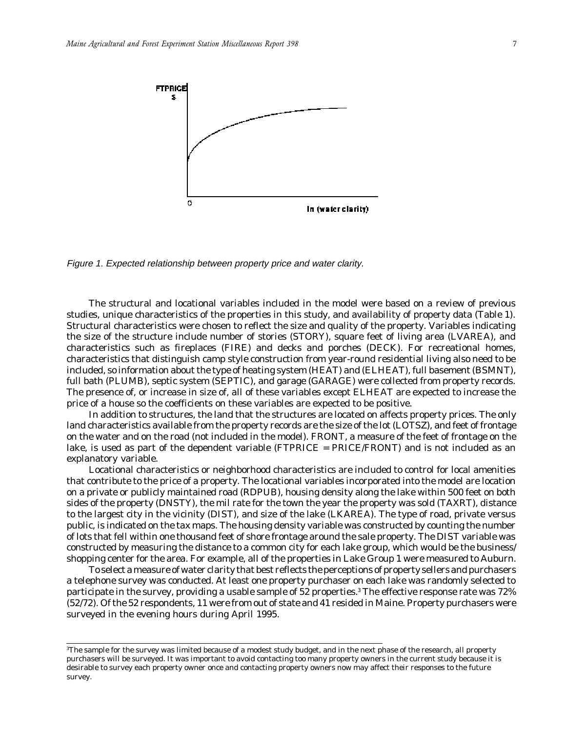

Figure 1. Expected relationship between property price and water clarity.

The structural and locational variables included in the model were based on a review of previous studies, unique characteristics of the properties in this study, and availability of property data (Table 1). Structural characteristics were chosen to reflect the size and quality of the property. Variables indicating the size of the structure include number of stories (STORY), square feet of living area (LVAREA), and characteristics such as fireplaces (FIRE) and decks and porches (DECK). For recreational homes, characteristics that distinguish camp style construction from year-round residential living also need to be included, so information about the type of heating system (HEAT) and (ELHEAT), full basement (BSMNT), full bath (PLUMB), septic system (SEPTIC), and garage (GARAGE) were collected from property records. The presence of, or increase in size of, all of these variables except ELHEAT are expected to increase the price of a house so the coefficients on these variables are expected to be positive.

In addition to structures, the land that the structures are located on affects property prices. The only land characteristics available from the property records are the size of the lot (LOTSZ), and feet of frontage on the water and on the road (not included in the model). FRONT, a measure of the feet of frontage on the lake, is used as part of the dependent variable (FTPRICE = PRICE/FRONT) and is not included as an explanatory variable.

Locational characteristics or neighborhood characteristics are included to control for local amenities that contribute to the price of a property. The locational variables incorporated into the model are location on a private or publicly maintained road (RDPUB), housing density along the lake within 500 feet on both sides of the property (DNSTY), the mil rate for the town the year the property was sold (TAXRT), distance to the largest city in the vicinity (DIST), and size of the lake (LKAREA). The type of road, private versus public, is indicated on the tax maps. The housing density variable was constructed by counting the number of lots that fell within one thousand feet of shore frontage around the sale property. The DIST variable was constructed by measuring the distance to a common city for each lake group, which would be the business/ shopping center for the area. For example, all of the properties in Lake Group 1 were measured to Auburn.

To select a measure of water clarity that best reflects the perceptions of property sellers and purchasers a telephone survey was conducted. At least one property purchaser on each lake was randomly selected to participate in the survey, providing a usable sample of 52 properties.3 The effective response rate was 72% (52/72). Of the 52 respondents, 11 were from out of state and 41 resided in Maine. Property purchasers were surveyed in the evening hours during April 1995.

<sup>3</sup> The sample for the survey was limited because of a modest study budget, and in the next phase of the research, all property purchasers will be surveyed. It was important to avoid contacting too many property owners in the current study because it is desirable to survey each property owner once and contacting property owners now may affect their responses to the future survey.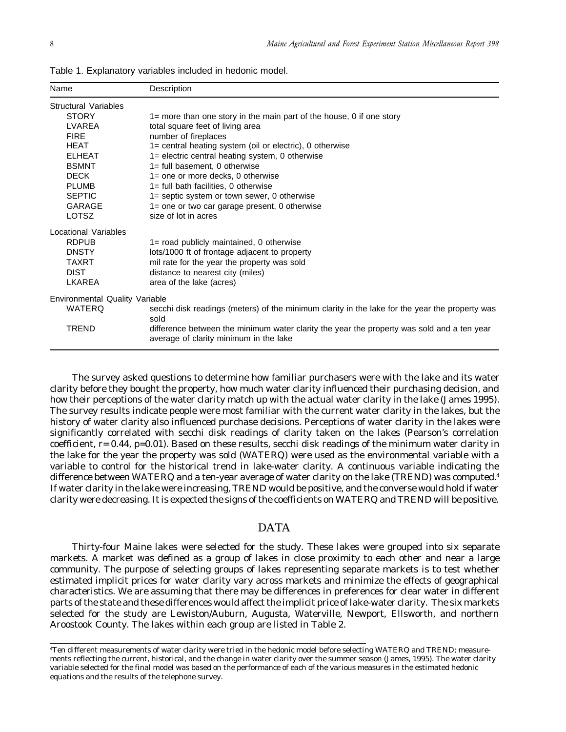| Name                                  | Description                                                                                                                          |
|---------------------------------------|--------------------------------------------------------------------------------------------------------------------------------------|
| Structural Variables                  |                                                                                                                                      |
| <b>STORY</b>                          | $1 =$ more than one story in the main part of the house, 0 if one story                                                              |
| LVAREA                                | total square feet of living area                                                                                                     |
| <b>FIRE</b>                           | number of fireplaces                                                                                                                 |
| <b>HEAT</b>                           | 1= central heating system (oil or electric), 0 otherwise                                                                             |
| <b>ELHEAT</b>                         | 1= electric central heating system, 0 otherwise                                                                                      |
| <b>BSMNT</b>                          | 1= full basement, 0 otherwise                                                                                                        |
| <b>DECK</b>                           | $1 =$ one or more decks, 0 otherwise                                                                                                 |
| <b>PLUMB</b>                          | $1 =$ full bath facilities, 0 otherwise                                                                                              |
| <b>SEPTIC</b>                         | 1= septic system or town sewer, 0 otherwise                                                                                          |
| <b>GARAGE</b>                         | 1= one or two car garage present, 0 otherwise                                                                                        |
| <b>LOTSZ</b>                          | size of lot in acres                                                                                                                 |
| Locational Variables                  |                                                                                                                                      |
| <b>RDPUB</b>                          | 1= road publicly maintained, 0 otherwise                                                                                             |
| <b>DNSTY</b>                          | lots/1000 ft of frontage adjacent to property                                                                                        |
| <b>TAXRT</b>                          | mil rate for the year the property was sold                                                                                          |
| <b>DIST</b>                           | distance to nearest city (miles)                                                                                                     |
| LKAREA                                | area of the lake (acres)                                                                                                             |
| <b>Environmental Quality Variable</b> |                                                                                                                                      |
| <b>WATERQ</b>                         | secchi disk readings (meters) of the minimum clarity in the lake for the year the property was<br>sold                               |
| <b>TREND</b>                          | difference between the minimum water clarity the year the property was sold and a ten year<br>average of clarity minimum in the lake |

<span id="page-7-0"></span>Table 1. Explanatory variables included in hedonic model.

The survey asked questions to determine how familiar purchasers were with the lake and its water clarity before they bought the property, how much water clarity influenced their purchasing decision, and how their perceptions of the water clarity match up with the actual water clarity in the lake (James 1995). The survey results indicate people were most familiar with the current water clarity in the lakes, but the history of water clarity also influenced purchase decisions. Perceptions of water clarity in the lakes were significantly correlated with secchi disk readings of clarity taken on the lakes (Pearson's correlation coefficient,  $r = 0.44$ ,  $p=0.01$ ). Based on these results, secchi disk readings of the minimum water clarity in the lake for the year the property was sold (WATERQ) were used as the environmental variable with a variable to control for the historical trend in lake-water clarity. A continuous variable indicating the difference between WATERQ and a ten-year average of water clarity on the lake (TREND) was computed.<sup>4</sup> If water clarity in the lake were increasing, TREND would be positive, and the converse would hold if water clarity were decreasing. It is expected the signs of the coefficients on WATERQ and TREND will be positive.

# DATA

Thirty-four Maine lakes were selected for the study. These lakes were grouped into six separate markets. A market was defined as a group of lakes in close proximity to each other and near a large community. The purpose of selecting groups of lakes representing separate markets is to test whether estimated implicit prices for water clarity vary across markets and minimize the effects of geographical characteristics. We are assuming that there may be differences in preferences for clear water in different parts of the state and these differences would affect the implicit price of lake-water clarity. The six markets selected for the study are Lewiston/Auburn, Augusta, Waterville, Newport, Ellsworth, and northern Aroostook County. The lakes within each group are listed in Table 2.

<sup>4</sup> Ten different measurements of water clarity were tried in the hedonic model before selecting WATERQ and TREND; measurements reflecting the current, historical, and the change in water clarity over the summer season (James, 1995). The water clarity variable selected for the final model was based on the performance of each of the various measures in the estimated hedonic equations and the results of the telephone survey.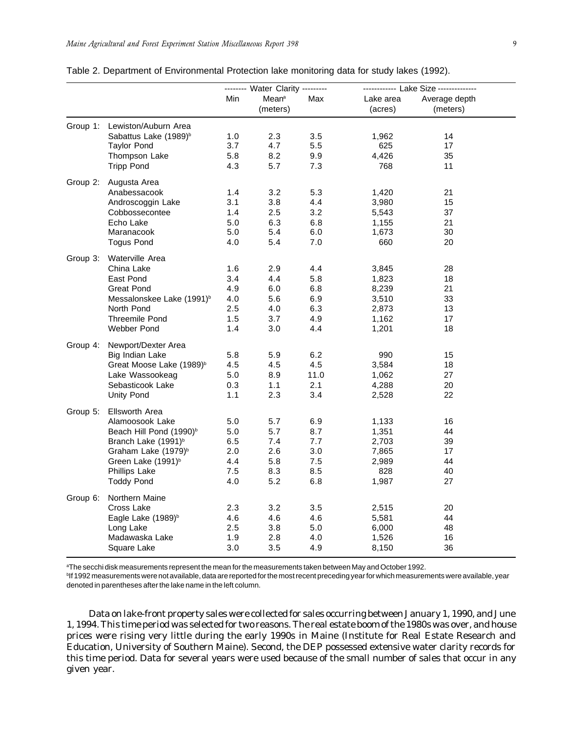|  | ٠  |        |  |
|--|----|--------|--|
|  |    |        |  |
|  |    |        |  |
|  |    | I<br>I |  |
|  | ۰. |        |  |

| Table 2. Department of Environmental Protection lake monitoring data for study lakes (1992). |  |  |  |  |  |  |
|----------------------------------------------------------------------------------------------|--|--|--|--|--|--|
|----------------------------------------------------------------------------------------------|--|--|--|--|--|--|

|          |                                       | ------- Water Clarity --------- |                               |       | ------------ Lake Size -------------- |                           |  |
|----------|---------------------------------------|---------------------------------|-------------------------------|-------|---------------------------------------|---------------------------|--|
|          |                                       | Min                             | Mean <sup>a</sup><br>(meters) | Max   | Lake area<br>(acres)                  | Average depth<br>(meters) |  |
|          | Group 1: Lewiston/Auburn Area         |                                 |                               |       |                                       |                           |  |
|          | Sabattus Lake (1989) <sup>b</sup>     | 1.0                             | 2.3                           | 3.5   | 1,962                                 | 14                        |  |
|          | <b>Taylor Pond</b>                    | 3.7                             | 4.7                           | 5.5   | 625                                   | 17                        |  |
|          | Thompson Lake                         | 5.8                             | 8.2                           | 9.9   | 4,426                                 | 35                        |  |
|          | <b>Tripp Pond</b>                     | 4.3                             | 5.7                           | 7.3   | 768                                   | 11                        |  |
| Group 2: | Augusta Area                          |                                 |                               |       |                                       |                           |  |
|          | Anabessacook                          | 1.4                             | 3.2                           | 5.3   | 1,420                                 | 21                        |  |
|          | Androscoggin Lake                     | 3.1                             | 3.8                           | 4.4   | 3,980                                 | 15                        |  |
|          | Cobbossecontee                        | 1.4                             | 2.5                           | 3.2   | 5,543                                 | 37                        |  |
|          | Echo Lake                             | 5.0                             | 6.3                           | 6.8   | 1,155                                 | 21                        |  |
|          | Maranacook                            | 5.0                             | 5.4                           | 6.0   | 1,673                                 | 30                        |  |
|          | <b>Togus Pond</b>                     | 4.0                             | 5.4                           | 7.0   | 660                                   | 20                        |  |
|          | Group 3: Waterville Area              |                                 |                               |       |                                       |                           |  |
|          | China Lake                            | 1.6                             | 2.9                           | 4.4   | 3,845                                 | 28                        |  |
|          | East Pond                             | 3.4                             | 4.4                           | 5.8   | 1,823                                 | 18                        |  |
|          | <b>Great Pond</b>                     | 4.9                             | 6.0                           | 6.8   | 8,239                                 | 21                        |  |
|          | Messalonskee Lake (1991) <sup>b</sup> | 4.0                             | 5.6                           | 6.9   | 3,510                                 | 33                        |  |
|          | North Pond                            | 2.5                             | 4.0                           | 6.3   | 2,873                                 | 13                        |  |
|          | <b>Threemile Pond</b>                 | 1.5                             | 3.7                           | 4.9   | 1,162                                 | 17                        |  |
|          | Webber Pond                           | 1.4                             | 3.0                           | 4.4   | 1,201                                 | 18                        |  |
|          | Group 4: Newport/Dexter Area          |                                 |                               |       |                                       |                           |  |
|          | Big Indian Lake                       | 5.8                             | 5.9                           | 6.2   | 990                                   | 15                        |  |
|          | Great Moose Lake (1989) <sup>b</sup>  | 4.5                             | 4.5                           | 4.5   | 3,584                                 | 18                        |  |
|          | Lake Wassookeag                       | 5.0                             | 8.9                           | 11.0  | 1,062                                 | 27                        |  |
|          | Sebasticook Lake                      | 0.3                             | 1.1                           | 2.1   | 4,288                                 | 20                        |  |
|          | <b>Unity Pond</b>                     | 1.1                             | 2.3                           | 3.4   | 2,528                                 | 22                        |  |
| Group 5: | <b>Ellsworth Area</b>                 |                                 |                               |       |                                       |                           |  |
|          | Alamoosook Lake                       | 5.0                             | 5.7                           | 6.9   | 1,133                                 | 16                        |  |
|          | Beach Hill Pond (1990) <sup>b</sup>   | 5.0                             | 5.7                           | 8.7   | 1,351                                 | 44                        |  |
|          | Branch Lake (1991) <sup>b</sup>       | 6.5                             | 7.4                           | 7.7   | 2,703                                 | 39                        |  |
|          | Graham Lake (1979) <sup>b</sup>       | 2.0                             | 2.6                           | 3.0   | 7,865                                 | 17                        |  |
|          | Green Lake (1991) <sup>b</sup>        | 4.4                             | 5.8                           | $7.5$ | 2,989                                 | 44                        |  |
|          | <b>Phillips Lake</b>                  | 7.5                             | 8.3                           | 8.5   | 828                                   | 40                        |  |
|          | Toddy Pond                            | 4.0                             | 5.2                           | 6.8   | 1,987                                 | 27                        |  |
| Group 6: | Northern Maine                        |                                 |                               |       |                                       |                           |  |
|          | Cross Lake                            | 2.3                             | 3.2                           | 3.5   | 2,515                                 | 20                        |  |
|          | Eagle Lake (1989) <sup>b</sup>        | 4.6                             | 4.6                           | 4.6   | 5,581                                 | 44                        |  |
|          | Long Lake                             | 2.5                             | 3.8                           | 5.0   | 6,000                                 | 48                        |  |
|          | Madawaska Lake                        | 1.9                             | 2.8                           | 4.0   | 1,526                                 | 16                        |  |
|          | Square Lake                           | 3.0                             | 3.5                           | 4.9   | 8,150                                 | 36                        |  |
|          |                                       |                                 |                               |       |                                       |                           |  |

aThe secchi disk measurements represent the mean for the measurements taken between May and October 1992.

<sup>b</sup>If 1992 measurements were not available, data are reported for the most recent preceding year for which measurements were available, year denoted in parentheses after the lake name in the left column.

Data on lake-front property sales were collected for sales occurring between January 1, 1990, and June 1, 1994. This time period was selected for two reasons. The real estate boom of the 1980s was over, and house prices were rising very little during the early 1990s in Maine (Institute for Real Estate Research and Education, University of Southern Maine). Second, the DEP possessed extensive water clarity records for this time period. Data for several years were used because of the small number of sales that occur in any given year.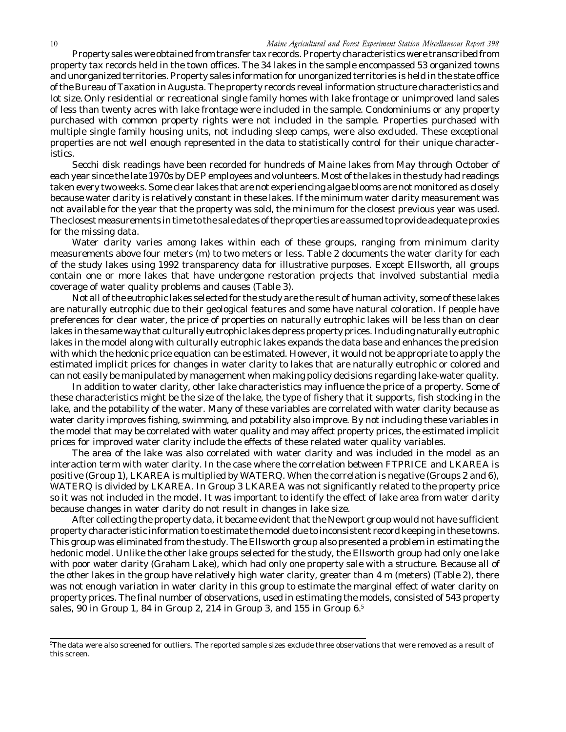Property sales were obtained from transfer tax records. Property characteristics were transcribed from property tax records held in the town offices. The 34 lakes in the sample encompassed 53 organized towns and unorganized territories. Property sales information for unorganized territories is held in the state office of the Bureau of Taxation in Augusta. The property records reveal information structure characteristics and lot size.Only residential or recreational single family homes with lake frontage or unimproved land sales of less than twenty acres with lake frontage were included in the sample. Condominiums or any property purchased with common property rights were not included in the sample. Properties purchased with multiple single family housing units, not including sleep camps, were also excluded. These exceptional properties are not well enough represented in the data to statistically control for their unique characteristics.

Secchi disk readings have been recorded for hundreds of Maine lakes from May through October of each year since the late 1970s by DEP employees and volunteers. Most of the lakes in the study had readings taken every two weeks. Some clear lakes that are not experiencing algae blooms are not monitored as closely because water clarity is relatively constant in these lakes. If the minimum water clarity measurement was not available for the year that the property was sold, the minimum for the closest previous year was used. The closest measurements in time to the sale dates of the properties are assumed to provide adequate proxies for the missing data.

Water clarity varies among lakes within each of these groups, ranging from minimum clarity measurements above four meters (m) to two meters or less. Table 2 documents the water clarity for each of the study lakes using 1992 transparency data for illustrative purposes. Except Ellsworth, all groups contain one or more lakes that have undergone restoration projects that involved substantial media coverage of water quality problems and causes (Table 3).

Not all of the eutrophic lakes selected for the study are the result of human activity, some of these lakes are naturally eutrophic due to their geological features and some have natural coloration. If people have preferences for clear water, the price of properties on naturally eutrophic lakes will be less than on clear lakes in the same way that culturally eutrophic lakes depress property prices. Including naturally eutrophic lakes in the model along with culturally eutrophic lakes expands the data base and enhances the precision with which the hedonic price equation can be estimated. However, it would not be appropriate to apply the estimated implicit prices for changes in water clarity to lakes that are naturally eutrophic or colored and can not easily be manipulated by management when making policy decisions regarding lake-water quality.

In addition to water clarity, other lake characteristics may influence the price of a property. Some of these characteristics might be the size of the lake, the type of fishery that it supports, fish stocking in the lake, and the potability of the water. Many of these variables are correlated with water clarity because as water clarity improves fishing, swimming, and potability also improve. By not including these variables in the model that may be correlated with water quality and may affect property prices, the estimated implicit prices for improved water clarity include the effects of these related water quality variables.

The area of the lake was also correlated with water clarity and was included in the model as an interaction term with water clarity. In the case where the correlation between FTPRICE and LKAREA is positive (Group 1), LKAREA is multiplied by WATERQ. When the correlation is negative (Groups 2 and 6), WATERQ is divided by LKAREA. In Group 3 LKAREA was not significantly related to the property price so it was not included in the model. It was important to identify the effect of lake area from water clarity because changes in water clarity do not result in changes in lake size.

After collecting the property data, it became evident that the Newport group would not have sufficient property characteristic information to estimate the model due to inconsistent record keeping in these towns. This group was eliminated from the study. The Ellsworth group also presented a problem in estimating the hedonic model. Unlike the other lake groups selected for the study, the Ellsworth group had only one lake with poor water clarity (Graham Lake), which had only one property sale with a structure. Because all of the other lakes in the group have relatively high water clarity, greater than 4 m (meters) (Table 2), there was not enough variation in water clarity in this group to estimate the marginal effect of water clarity on property prices. The final number of observations, used in estimating the models, consisted of 543 property sales, 90 in Group 1, 84 in Group 2, 214 in Group 3, and 155 in Group 6.5

<sup>5</sup> The data were also screened for outliers. The reported sample sizes exclude three observations that were removed as a result of this screen.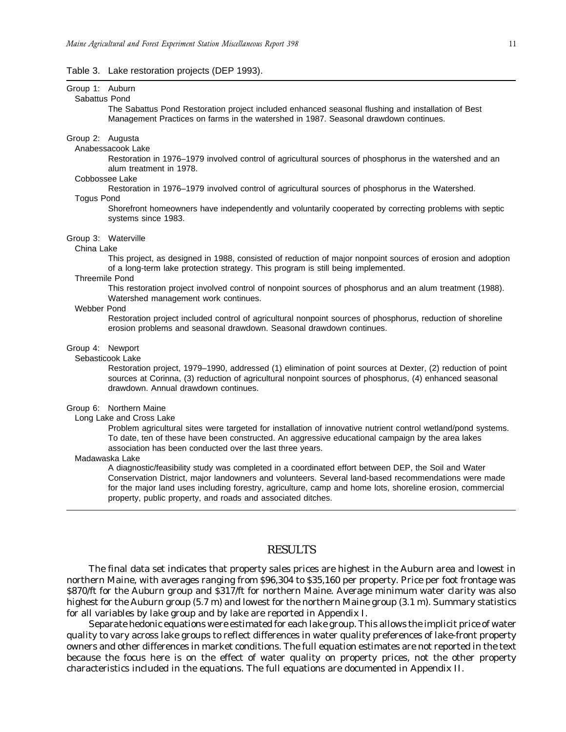#### <span id="page-10-0"></span>Table 3. Lake restoration projects (DEP 1993).

# Group 1: Auburn

#### Sabattus Pond

The Sabattus Pond Restoration project included enhanced seasonal flushing and installation of Best Management Practices on farms in the watershed in 1987. Seasonal drawdown continues.

#### Group 2: Augusta

### Anabessacook Lake

Restoration in 1976–1979 involved control of agricultural sources of phosphorus in the watershed and an alum treatment in 1978.

#### Cobbossee Lake

Restoration in 1976–1979 involved control of agricultural sources of phosphorus in the Watershed.

# Togus Pond

Shorefront homeowners have independently and voluntarily cooperated by correcting problems with septic systems since 1983.

#### Group 3: Waterville

#### China Lake

This project, as designed in 1988, consisted of reduction of major nonpoint sources of erosion and adoption of a long-term lake protection strategy. This program is still being implemented.

#### Threemile Pond

This restoration project involved control of nonpoint sources of phosphorus and an alum treatment (1988). Watershed management work continues.

#### Webber Pond

Restoration project included control of agricultural nonpoint sources of phosphorus, reduction of shoreline erosion problems and seasonal drawdown. Seasonal drawdown continues.

#### Group 4: Newport

#### Sebasticook Lake

Restoration project, 1979–1990, addressed (1) elimination of point sources at Dexter, (2) reduction of point sources at Corinna, (3) reduction of agricultural nonpoint sources of phosphorus, (4) enhanced seasonal drawdown. Annual drawdown continues.

#### Group 6: Northern Maine

Long Lake and Cross Lake

Problem agricultural sites were targeted for installation of innovative nutrient control wetland/pond systems. To date, ten of these have been constructed. An aggressive educational campaign by the area lakes association has been conducted over the last three years.

#### Madawaska Lake

A diagnostic/feasibility study was completed in a coordinated effort between DEP, the Soil and Water Conservation District, major landowners and volunteers. Several land-based recommendations were made for the major land uses including forestry, agriculture, camp and home lots, shoreline erosion, commercial property, public property, and roads and associated ditches.

#### RESULTS

The final data set indicates that property sales prices are highest in the Auburn area and lowest in northern Maine, with averages ranging from \$96,304 to \$35,160 per property. Price per foot frontage was \$870/ft for the Auburn group and \$317/ft for northern Maine. Average minimum water clarity was also highest for the Auburn group (5.7 m) and lowest for the northern Maine group (3.1 m). Summary statistics for all variables by lake group and by lake are reported in Appendix I.

Separate hedonic equations were estimated for each lake group. This allows the implicit price of water quality to vary across lake groups to reflect differences in water quality preferences of lake-front property owners and other differences in market conditions. The full equation estimates are not reported in the text because the focus here is on the effect of water quality on property prices, not the other property characteristics included in the equations. The full equations are documented in Appendix II.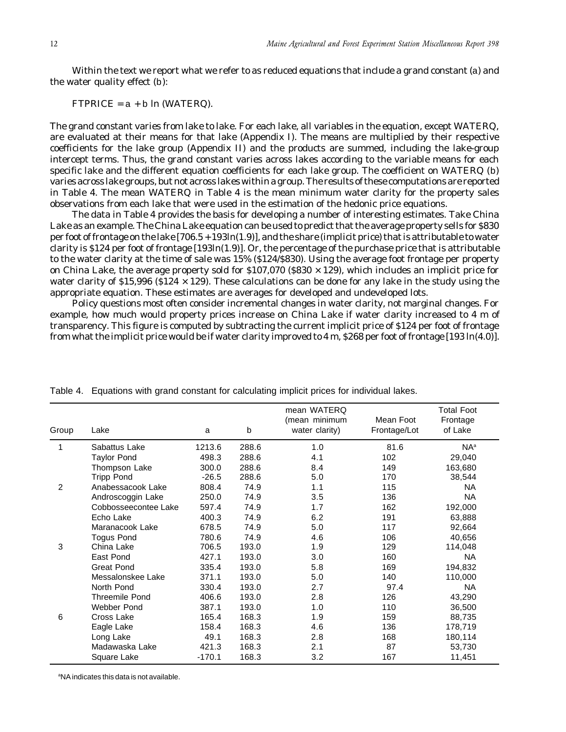Within the text we report what we refer to as reduced equations that include a grand constant (a) and the water quality effect (b):

 $FTPRICE = a + b \ln (WATERQ)$ .

The grand constant varies from lake to lake. For each lake, all variables in the equation, except WATERQ, are evaluated at their means for that lake (Appendix I). The means are multiplied by their respective coefficients for the lake group (Appendix II) and the products are summed, including the lake-group intercept terms. Thus, the grand constant varies across lakes according to the variable means for each specific lake and the different equation coefficients for each lake group. The coefficient on WATERQ (b) varies across lake groups, but not across lakes within a group. The results of these computations are reported in Table 4. The mean WATERQ in Table 4 is the mean minimum water clarity for the property sales observations from each lake that were used in the estimation of the hedonic price equations.

The data in Table 4 provides the basis for developing a number of interesting estimates. Take China Lake as an example. The China Lake equation can be used to predict that the average property sells for \$830 per foot of frontage on the lake [706.5 + 193ln(1.9)], and the share (implicit price) that is attributable to water clarity is \$124 per foot of frontage [193ln(1.9)]. Or, the percentage of the purchase price that is attributable to the water clarity at the time of sale was 15% (\$124/\$830). Using the average foot frontage per property on China Lake, the average property sold for  $$107,070$  ( $$830 \times 129$ ), which includes an implicit price for water clarity of \$15,996 (\$124  $\times$  129). These calculations can be done for any lake in the study using the appropriate equation. These estimates are averages for developed and undeveloped lots.

Policy questions most often consider incremental changes in water clarity, not marginal changes. For example, how much would property prices increase on China Lake if water clarity increased to 4 m of transparency. This figure is computed by subtracting the current implicit price of \$124 per foot of frontage from what the implicit price would be if water clarity improved to 4 m, \$268 per foot of frontage [193 ln(4.0)].

| Group | Lake                  | a        | b     | mean WATERQ<br>(mean minimum<br>water clarity) | Mean Foot<br>Frontage/Lot | <b>Total Foot</b><br>Frontage<br>of Lake |
|-------|-----------------------|----------|-------|------------------------------------------------|---------------------------|------------------------------------------|
| 1     | Sabattus Lake         | 1213.6   | 288.6 | 1.0                                            | 81.6                      | $NA^a$                                   |
|       | <b>Taylor Pond</b>    | 498.3    | 288.6 | 4.1                                            | 102                       | 29,040                                   |
|       | Thompson Lake         | 300.0    | 288.6 | 8.4                                            | 149                       | 163,680                                  |
|       | <b>Tripp Pond</b>     | $-26.5$  | 288.6 | 5.0                                            | 170                       | 38,544                                   |
| 2     | Anabessacook Lake     | 808.4    | 74.9  | 1.1                                            | 115                       | <b>NA</b>                                |
|       | Androscoggin Lake     | 250.0    | 74.9  | 3.5                                            | 136                       | <b>NA</b>                                |
|       | Cobbosseecontee Lake  | 597.4    | 74.9  | 1.7                                            | 162                       | 192,000                                  |
|       | Echo Lake             | 400.3    | 74.9  | 6.2                                            | 191                       | 63,888                                   |
|       | Maranacook Lake       | 678.5    | 74.9  | 5.0                                            | 117                       | 92,664                                   |
|       | <b>Togus Pond</b>     | 780.6    | 74.9  | 4.6                                            | 106                       | 40,656                                   |
| 3     | China Lake            | 706.5    | 193.0 | 1.9                                            | 129                       | 114,048                                  |
|       | East Pond             | 427.1    | 193.0 | 3.0                                            | 160                       | <b>NA</b>                                |
|       | Great Pond            | 335.4    | 193.0 | 5.8                                            | 169                       | 194,832                                  |
|       | Messalonskee Lake     | 371.1    | 193.0 | 5.0                                            | 140                       | 110,000                                  |
|       | North Pond            | 330.4    | 193.0 | 2.7                                            | 97.4                      | <b>NA</b>                                |
|       | <b>Threemile Pond</b> | 406.6    | 193.0 | 2.8                                            | 126                       | 43,290                                   |
|       | Webber Pond           | 387.1    | 193.0 | 1.0                                            | 110                       | 36,500                                   |
| 6     | Cross Lake            | 165.4    | 168.3 | 1.9                                            | 159                       | 88,735                                   |
|       | Eagle Lake            | 158.4    | 168.3 | 4.6                                            | 136                       | 178,719                                  |
|       | Long Lake             | 49.1     | 168.3 | 2.8                                            | 168                       | 180,114                                  |
|       | Madawaska Lake        | 421.3    | 168.3 | 2.1                                            | 87                        | 53,730                                   |
|       | Square Lake           | $-170.1$ | 168.3 | 3.2                                            | 167                       | 11,451                                   |

Table 4. Equations with grand constant for calculating implicit prices for individual lakes.

a NA indicates this data is not available.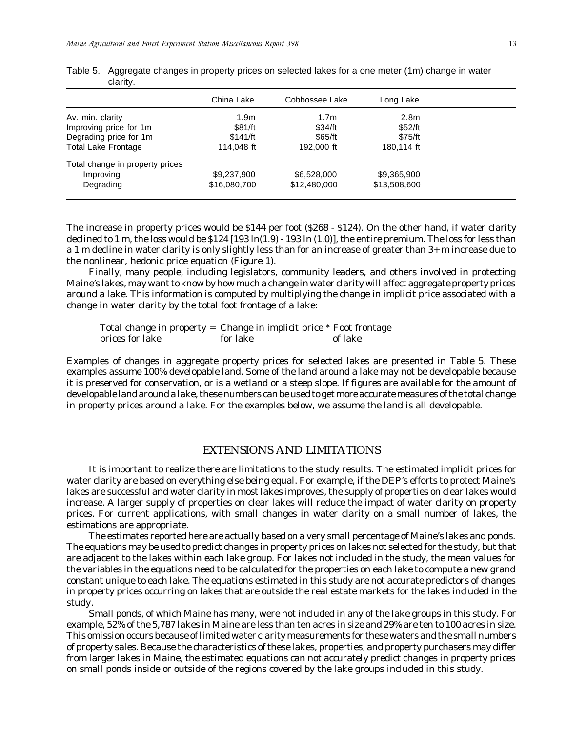|                                 | China Lake       | Cobbossee Lake   | Long Lake        |
|---------------------------------|------------------|------------------|------------------|
| Av. min. clarity                | 1.9 <sub>m</sub> | 1.7 <sub>m</sub> | 2.8 <sub>m</sub> |
| Improving price for 1m          | \$81/ft          | \$34/ft          | \$52/ft          |
| Degrading price for 1m          | \$141/ft         | \$65/ft          | \$75/ft          |
| <b>Total Lake Frontage</b>      | 114,048 ft       | 192,000 ft       | 180.114 ft       |
| Total change in property prices |                  |                  |                  |
| Improving                       | \$9,237,900      | \$6,528,000      | \$9,365,900      |
| Degrading                       | \$16,080,700     | \$12,480,000     | \$13,508,600     |
|                                 |                  |                  |                  |

<span id="page-12-0"></span>

| Table 5. Aggregate changes in property prices on selected lakes for a one meter (1m) change in water |
|------------------------------------------------------------------------------------------------------|
| clarity.                                                                                             |

The increase in property prices would be \$144 per foot (\$268 - \$124). On the other hand, if water clarity declined to 1 m, the loss would be  $$124 [193 ln(1.9) - 193 ln(1.0)]$ , the entire premium. The loss for less than a 1 m decline in water clarity is only slightly less than for an increase of greater than 3+ m increase due to the nonlinear, hedonic price equation (Figure 1).

Finally, many people, including legislators, community leaders, and others involved in protecting Maine's lakes, may want to know by how much a change in water clarity will affect aggregate property prices around a lake. This information is computed by multiplying the change in implicit price associated with a change in water clarity by the total foot frontage of a lake:

Total change in property = Change in implicit price \* Foot frontage prices for lake for lake of lake

Examples of changes in aggregate property prices for selected lakes are presented in Table 5. These examples assume 100% developable land. Some of the land around a lake may not be developable because it is preserved for conservation, or is a wetland or a steep slope. If figures are available for the amount of developable land around a lake, these numbers can be used to get more accurate measures of the total change in property prices around a lake. For the examples below, we assume the land is all developable.

# EXTENSIONS AND LIMITATIONS

It is important to realize there are limitations to the study results. The estimated implicit prices for water clarity are based on everything else being equal. For example, if the DEP's efforts to protect Maine's lakes are successful and water clarity in most lakes improves, the supply of properties on clear lakes would increase. A larger supply of properties on clear lakes will reduce the impact of water clarity on property prices. For current applications, with small changes in water clarity on a small number of lakes, the estimations are appropriate.

The estimates reported here are actually based on a very small percentage of Maine's lakes and ponds. The equations may be used to predict changes in property prices on lakes not selected for the study, but that are adjacent to the lakes within each lake group. For lakes not included in the study, the mean values for the variables in the equations need to be calculated for the properties on each lake to compute a new grand constant unique to each lake. The equations estimated in this study are not accurate predictors of changes in property prices occurring on lakes that are outside the real estate markets for the lakes included in the study.

Small ponds, of which Maine has many, were not included in any of the lake groups in this study. For example, 52% of the 5,787 lakes in Maine are less than ten acres in size and 29% are ten to 100 acres in size. This omission occurs because of limited water clarity measurements for these waters and the small numbers of property sales. Because the characteristics of these lakes, properties, and property purchasers may differ from larger lakes in Maine, the estimated equations can not accurately predict changes in property prices on small ponds inside or outside of the regions covered by the lake groups included in this study.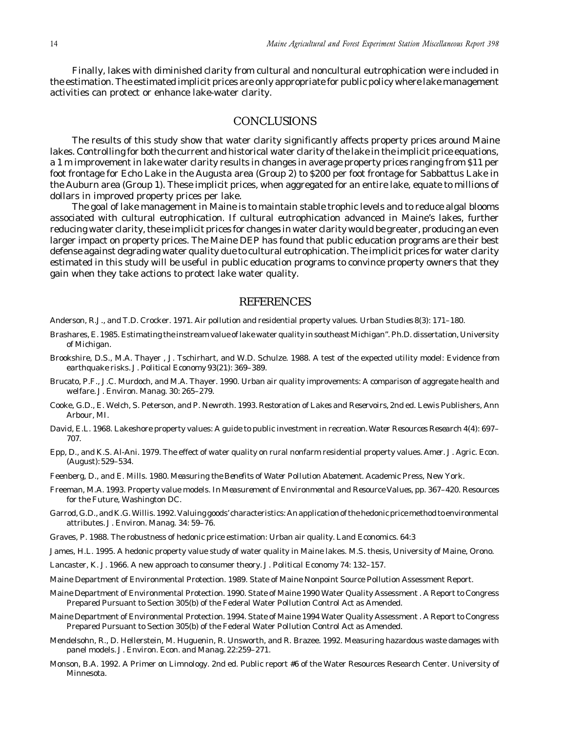<span id="page-13-0"></span>Finally, lakes with diminished clarity from cultural and noncultural eutrophication were included in the estimation. The estimated implicit prices are only appropriate for public policy where lake management activities can protect or enhance lake-water clarity.

# **CONCLUSIONS**

The results of this study show that water clarity significantly affects property prices around Maine lakes. Controlling for both the current and historical water clarity of the lake in the implicit price equations, a 1 m improvement in lake water clarity results in changes in average property prices ranging from \$11 per foot frontage for Echo Lake in the Augusta area (Group 2) to \$200 per foot frontage for Sabbattus Lake in the Auburn area (Group 1). These implicit prices, when aggregated for an entire lake, equate to millions of dollars in improved property prices per lake.

The goal of lake management in Maine is to maintain stable trophic levels and to reduce algal blooms associated with cultural eutrophication. If cultural eutrophication advanced in Maine's lakes, further reducing water clarity, these implicit prices for changes in water clarity would be greater, producing an even larger impact on property prices. The Maine DEP has found that public education programs are their best defense against degrading water quality due to cultural eutrophication. The implicit prices for water clarity estimated in this study will be useful in public education programs to convince property owners that they gain when they take actions to protect lake water quality.

## **REFERENCES**

- Anderson, R.J., and T.D. Crocker. 1971. Air pollution and residential property values. *Urban Studies* 8(3): 171–180.
- Brashares, E. 1985. Estimating the instream value of lake water quality in southeast Michigan". Ph.D. dissertation, University of Michigan.
- Brookshire, D.S., M.A. Thayer , J. Tschirhart, and W.D. Schulze. 1988. A test of the expected utility model: Evidence from earthquake risks. *J. Political Economy* 93(21): 369–389.
- Brucato, P.F., J.C. Murdoch, and M.A. Thayer. 1990. Urban air quality improvements: A comparison of aggregate health and welfare. *J. Environ. Manag.* 30: 265–279.
- Cooke, G.D., E. Welch, S. Peterson, and P. Newroth. 1993. *Restoration of Lakes and Reservoirs,* 2nd ed. Lewis Publishers, Ann Arbour, MI.
- David, E.L. 1968. Lakeshore property values: A guide to public investment in recreation. *Water Resources Research* 4(4): 697– 707.
- Epp, D., and K.S. Al-Ani. 1979. The effect of water quality on rural nonfarm residential property values. *Amer. J. Agric. Econ.* (August): 529–534.
- Feenberg, D., and E. Mills. 1980. *Measuring the Benefits of Water Pollution Abatement.* Academic Press, New York.
- Freeman, M.A. 1993. Property value models. In *Measurement of Environmental and Resource Values,* pp. 367–420. Resources for the Future, Washington DC.
- Garrod, G.D., and K.G. Willis. 1992. Valuing goods' characteristics: An application of the hedonic price method to environmental attributes. *J. Environ. Manag.* 34: 59–76.
- Graves, P. 1988. The robustness of hedonic price estimation: Urban air quality. *Land Economics*. 64:3
- James, H.L. 1995. A hedonic property value study of water quality in Maine lakes. M.S. thesis, University of Maine, Orono.
- Lancaster, K. J. 1966. A new approach to consumer theory. *J. Political Economy* 74: 132–157.
- Maine Department of Environmental Protection. 1989. State of Maine Nonpoint Source Pollution Assessment Report.
- Maine Department of Environmental Protection. 1990. State of Maine 1990 Water Quality Assessment . A Report to Congress Prepared Pursuant to Section 305(b) of the Federal Water Pollution Control Act as Amended.
- Maine Department of Environmental Protection. 1994. State of Maine 1994 Water Quality Assessment . A Report to Congress Prepared Pursuant to Section 305(b) of the Federal Water Pollution Control Act as Amended.
- Mendelsohn, R., D. Hellerstein, M. Huguenin, R. Unsworth, and R. Brazee. 1992. Measuring hazardous waste damages with panel models. *J. Environ. Econ. and Manag.* 22:259–271.
- Monson, B.A. 1992. A Primer on Limnology. 2nd ed. Public report #6 of the Water Resources Research Center. University of Minnesota.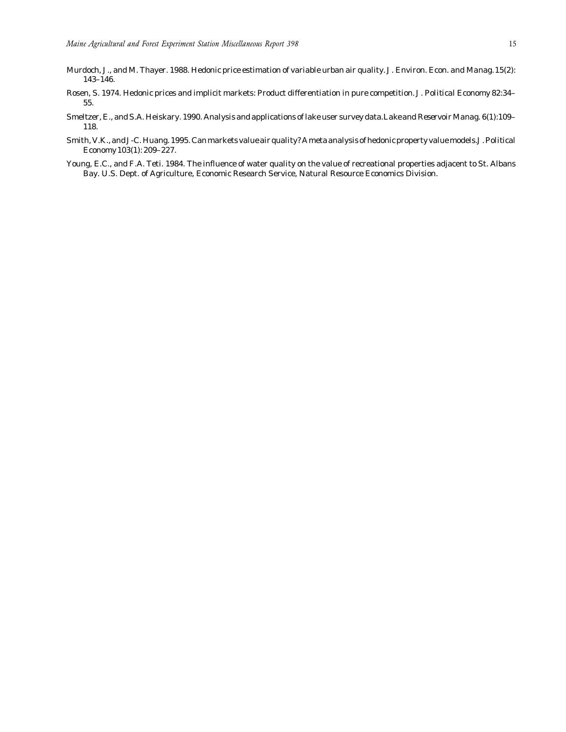- Murdoch, J., and M. Thayer. 1988. Hedonic price estimation of variable urban air quality. *J. Environ. Econ. and Manag.* 15(2): 143–146.
- Rosen, S. 1974. Hedonic prices and implicit markets: Product differentiation in pure competition. *J. Political Economy* 82:34– 55.
- Smeltzer, E., and S.A. Heiskary. 1990. Analysis and applications of lake user survey data. *Lake and Reservoir Manag.* 6(1):109– 118.
- Smith, V.K., and J-C. Huang. 1995. Can markets value air quality? A meta analysis of hedonic property value models. *J. Political Economy* 103(1): 209–227.
- Young, E.C., and F.A. Teti. 1984. The influence of water quality on the value of recreational properties adjacent to St. Albans Bay. U.S. Dept. of Agriculture, Economic Research Service, Natural Resource Economics Division.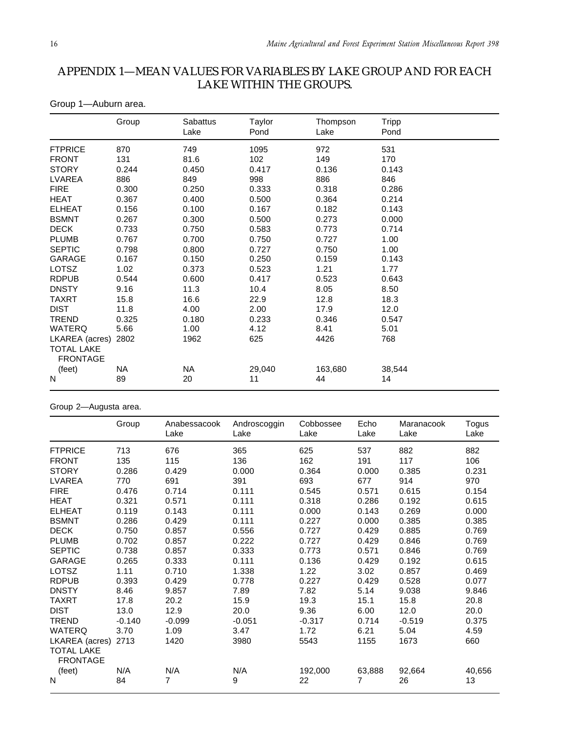# <span id="page-15-0"></span>APPENDIX 1—MEAN VALUES FOR VARIABLES BY LAKE GROUP AND FOR EACH LAKE WITHIN THE GROUPS.

Group 1—Auburn area.

|                                      | Group     | Sabattus<br>Lake | Taylor<br>Pond | Thompson<br>Lake | <b>Tripp</b><br>Pond |
|--------------------------------------|-----------|------------------|----------------|------------------|----------------------|
| <b>FTPRICE</b>                       | 870       | 749              | 1095           | 972              | 531                  |
| <b>FRONT</b>                         | 131       | 81.6             | 102            | 149              | 170                  |
| <b>STORY</b>                         | 0.244     | 0.450            | 0.417          | 0.136            | 0.143                |
| LVAREA                               | 886       | 849              | 998            | 886              | 846                  |
| <b>FIRE</b>                          | 0.300     | 0.250            | 0.333          | 0.318            | 0.286                |
| <b>HEAT</b>                          | 0.367     | 0.400            | 0.500          | 0.364            | 0.214                |
| <b>ELHEAT</b>                        | 0.156     | 0.100            | 0.167          | 0.182            | 0.143                |
| <b>BSMNT</b>                         | 0.267     | 0.300            | 0.500          | 0.273            | 0.000                |
| <b>DECK</b>                          | 0.733     | 0.750            | 0.583          | 0.773            | 0.714                |
| <b>PLUMB</b>                         | 0.767     | 0.700            | 0.750          | 0.727            | 1.00                 |
| <b>SEPTIC</b>                        | 0.798     | 0.800            | 0.727          | 0.750            | 1.00                 |
| <b>GARAGE</b>                        | 0.167     | 0.150            | 0.250          | 0.159            | 0.143                |
| <b>LOTSZ</b>                         | 1.02      | 0.373            | 0.523          | 1.21             | 1.77                 |
| <b>RDPUB</b>                         | 0.544     | 0.600            | 0.417          | 0.523            | 0.643                |
| <b>DNSTY</b>                         | 9.16      | 11.3             | 10.4           | 8.05             | 8.50                 |
| <b>TAXRT</b>                         | 15.8      | 16.6             | 22.9           | 12.8             | 18.3                 |
| <b>DIST</b>                          | 11.8      | 4.00             | 2.00           | 17.9             | 12.0                 |
| <b>TREND</b>                         | 0.325     | 0.180            | 0.233          | 0.346            | 0.547                |
| <b>WATERQ</b>                        | 5.66      | 1.00             | 4.12           | 8.41             | 5.01                 |
| LKAREA (acres)                       | 2802      | 1962             | 625            | 4426             | 768                  |
| <b>TOTAL LAKE</b><br><b>FRONTAGE</b> |           |                  |                |                  |                      |
| (feet)                               | <b>NA</b> | <b>NA</b>        | 29,040         | 163,680          | 38,544               |
| N                                    | 89        | 20               | 11             | 44               | 14                   |

# Group 2—Augusta area.

|                                      | Group    | Anabessacook<br>Lake | Androscoggin<br>Lake | Cobbossee<br>Lake | Echo<br>Lake   | Maranacook<br>Lake | <b>Togus</b><br>Lake |
|--------------------------------------|----------|----------------------|----------------------|-------------------|----------------|--------------------|----------------------|
|                                      |          |                      |                      |                   |                |                    |                      |
| <b>FTPRICE</b>                       | 713      | 676                  | 365                  | 625               | 537            | 882                | 882                  |
| <b>FRONT</b>                         | 135      | 115                  | 136                  | 162               | 191            | 117                | 106                  |
| <b>STORY</b>                         | 0.286    | 0.429                | 0.000                | 0.364             | 0.000          | 0.385              | 0.231                |
| LVAREA                               | 770      | 691                  | 391                  | 693               | 677            | 914                | 970                  |
| <b>FIRE</b>                          | 0.476    | 0.714                | 0.111                | 0.545             | 0.571          | 0.615              | 0.154                |
| <b>HEAT</b>                          | 0.321    | 0.571                | 0.111                | 0.318             | 0.286          | 0.192              | 0.615                |
| <b>ELHEAT</b>                        | 0.119    | 0.143                | 0.111                | 0.000             | 0.143          | 0.269              | 0.000                |
| <b>BSMNT</b>                         | 0.286    | 0.429                | 0.111                | 0.227             | 0.000          | 0.385              | 0.385                |
| <b>DECK</b>                          | 0.750    | 0.857                | 0.556                | 0.727             | 0.429          | 0.885              | 0.769                |
| <b>PLUMB</b>                         | 0.702    | 0.857                | 0.222                | 0.727             | 0.429          | 0.846              | 0.769                |
| <b>SEPTIC</b>                        | 0.738    | 0.857                | 0.333                | 0.773             | 0.571          | 0.846              | 0.769                |
| <b>GARAGE</b>                        | 0.265    | 0.333                | 0.111                | 0.136             | 0.429          | 0.192              | 0.615                |
| LOTSZ                                | 1.11     | 0.710                | 1.338                | 1.22              | 3.02           | 0.857              | 0.469                |
| <b>RDPUB</b>                         | 0.393    | 0.429                | 0.778                | 0.227             | 0.429          | 0.528              | 0.077                |
| <b>DNSTY</b>                         | 8.46     | 9.857                | 7.89                 | 7.82              | 5.14           | 9.038              | 9.846                |
| <b>TAXRT</b>                         | 17.8     | 20.2                 | 15.9                 | 19.3              | 15.1           | 15.8               | 20.8                 |
| <b>DIST</b>                          | 13.0     | 12.9                 | 20.0                 | 9.36              | 6.00           | 12.0               | 20.0                 |
| <b>TREND</b>                         | $-0.140$ | $-0.099$             | $-0.051$             | $-0.317$          | 0.714          | $-0.519$           | 0.375                |
| <b>WATERQ</b>                        | 3.70     | 1.09                 | 3.47                 | 1.72              | 6.21           | 5.04               | 4.59                 |
| LKAREA (acres)                       | 2713     | 1420                 | 3980                 | 5543              | 1155           | 1673               | 660                  |
| <b>TOTAL LAKE</b><br><b>FRONTAGE</b> |          |                      |                      |                   |                |                    |                      |
| (feet)                               | N/A      | N/A                  | N/A                  | 192,000           | 63,888         | 92,664             | 40,656               |
| $\mathsf{N}$                         | 84       | $\overline{7}$       | 9                    | 22                | $\overline{7}$ | 26                 | 13                   |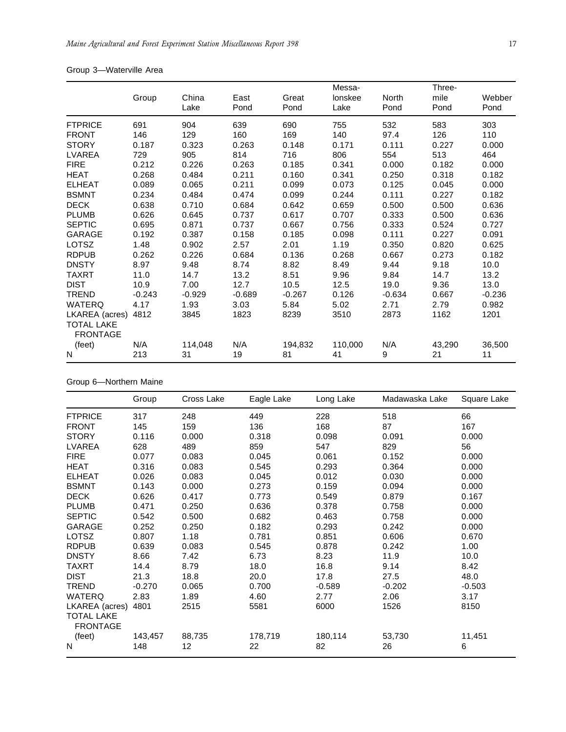|  | Group 3-Waterville Area |  |
|--|-------------------------|--|
|--|-------------------------|--|

|                                      |          |               |              |               | Messa-          |                      | Three-       |                |
|--------------------------------------|----------|---------------|--------------|---------------|-----------------|----------------------|--------------|----------------|
|                                      | Group    | China<br>Lake | East<br>Pond | Great<br>Pond | lonskee<br>Lake | <b>North</b><br>Pond | mile<br>Pond | Webber<br>Pond |
| <b>FTPRICE</b>                       | 691      | 904           | 639          | 690           | 755             | 532                  | 583          | 303            |
| <b>FRONT</b>                         | 146      | 129           | 160          | 169           | 140             | 97.4                 | 126          | 110            |
| <b>STORY</b>                         | 0.187    | 0.323         | 0.263        | 0.148         | 0.171           | 0.111                | 0.227        | 0.000          |
| LVAREA                               | 729      | 905           | 814          | 716           | 806             | 554                  | 513          | 464            |
| <b>FIRE</b>                          | 0.212    | 0.226         | 0.263        | 0.185         | 0.341           | 0.000                | 0.182        | 0.000          |
| <b>HEAT</b>                          | 0.268    | 0.484         | 0.211        | 0.160         | 0.341           | 0.250                | 0.318        | 0.182          |
| <b>ELHEAT</b>                        | 0.089    | 0.065         | 0.211        | 0.099         | 0.073           | 0.125                | 0.045        | 0.000          |
| <b>BSMNT</b>                         | 0.234    | 0.484         | 0.474        | 0.099         | 0.244           | 0.111                | 0.227        | 0.182          |
| <b>DECK</b>                          | 0.638    | 0.710         | 0.684        | 0.642         | 0.659           | 0.500                | 0.500        | 0.636          |
| <b>PLUMB</b>                         | 0.626    | 0.645         | 0.737        | 0.617         | 0.707           | 0.333                | 0.500        | 0.636          |
| <b>SEPTIC</b>                        | 0.695    | 0.871         | 0.737        | 0.667         | 0.756           | 0.333                | 0.524        | 0.727          |
| GARAGE                               | 0.192    | 0.387         | 0.158        | 0.185         | 0.098           | 0.111                | 0.227        | 0.091          |
| <b>LOTSZ</b>                         | 1.48     | 0.902         | 2.57         | 2.01          | 1.19            | 0.350                | 0.820        | 0.625          |
| <b>RDPUB</b>                         | 0.262    | 0.226         | 0.684        | 0.136         | 0.268           | 0.667                | 0.273        | 0.182          |
| <b>DNSTY</b>                         | 8.97     | 9.48          | 8.74         | 8.82          | 8.49            | 9.44                 | 9.18         | 10.0           |
| TAXRT                                | 11.0     | 14.7          | 13.2         | 8.51          | 9.96            | 9.84                 | 14.7         | 13.2           |
| <b>DIST</b>                          | 10.9     | 7.00          | 12.7         | 10.5          | 12.5            | 19.0                 | 9.36         | 13.0           |
| <b>TREND</b>                         | $-0.243$ | $-0.929$      | $-0.689$     | $-0.267$      | 0.126           | $-0.634$             | 0.667        | $-0.236$       |
| <b>WATERQ</b>                        | 4.17     | 1.93          | 3.03         | 5.84          | 5.02            | 2.71                 | 2.79         | 0.982          |
| LKAREA (acres)                       | 4812     | 3845          | 1823         | 8239          | 3510            | 2873                 | 1162         | 1201           |
| <b>TOTAL LAKE</b><br><b>FRONTAGE</b> |          |               |              |               |                 |                      |              |                |
| (feet)                               | N/A      | 114,048       | N/A          | 194,832       | 110,000         | N/A                  | 43,290       | 36,500         |
| N                                    | 213      | 31            | 19           | 81            | 41              | 9                    | 21           | 11             |

Group 6—Northern Maine

|                                      | Group    | Cross Lake | Eagle Lake | Long Lake | Madawaska Lake | Square Lake |
|--------------------------------------|----------|------------|------------|-----------|----------------|-------------|
| <b>FTPRICE</b>                       | 317      | 248        | 449        | 228       | 518            | 66          |
| <b>FRONT</b>                         | 145      | 159        | 136        | 168       | 87             | 167         |
| <b>STORY</b>                         | 0.116    | 0.000      | 0.318      | 0.098     | 0.091          | 0.000       |
| LVAREA                               | 628      | 489        | 859        | 547       | 829            | 56          |
| <b>FIRE</b>                          | 0.077    | 0.083      | 0.045      | 0.061     | 0.152          | 0.000       |
| <b>HEAT</b>                          | 0.316    | 0.083      | 0.545      | 0.293     | 0.364          | 0.000       |
| <b>ELHEAT</b>                        | 0.026    | 0.083      | 0.045      | 0.012     | 0.030          | 0.000       |
| <b>BSMNT</b>                         | 0.143    | 0.000      | 0.273      | 0.159     | 0.094          | 0.000       |
| <b>DECK</b>                          | 0.626    | 0.417      | 0.773      | 0.549     | 0.879          | 0.167       |
| <b>PLUMB</b>                         | 0.471    | 0.250      | 0.636      | 0.378     | 0.758          | 0.000       |
| <b>SEPTIC</b>                        | 0.542    | 0.500      | 0.682      | 0.463     | 0.758          | 0.000       |
| GARAGE                               | 0.252    | 0.250      | 0.182      | 0.293     | 0.242          | 0.000       |
| <b>LOTSZ</b>                         | 0.807    | 1.18       | 0.781      | 0.851     | 0.606          | 0.670       |
| <b>RDPUB</b>                         | 0.639    | 0.083      | 0.545      | 0.878     | 0.242          | 1.00        |
| <b>DNSTY</b>                         | 8.66     | 7.42       | 6.73       | 8.23      | 11.9           | 10.0        |
| <b>TAXRT</b>                         | 14.4     | 8.79       | 18.0       | 16.8      | 9.14           | 8.42        |
| <b>DIST</b>                          | 21.3     | 18.8       | 20.0       | 17.8      | 27.5           | 48.0        |
| <b>TREND</b>                         | $-0.270$ | 0.065      | 0.700      | $-0.589$  | $-0.202$       | $-0.503$    |
| <b>WATERQ</b>                        | 2.83     | 1.89       | 4.60       | 2.77      | 2.06           | 3.17        |
| LKAREA (acres)                       | 4801     | 2515       | 5581       | 6000      | 1526           | 8150        |
| <b>TOTAL LAKE</b><br><b>FRONTAGE</b> |          |            |            |           |                |             |
| (feet)                               | 143,457  | 88,735     | 178,719    | 180,114   | 53,730         | 11,451      |
| N                                    | 148      | 12         | 22         | 82        | 26             | 6           |